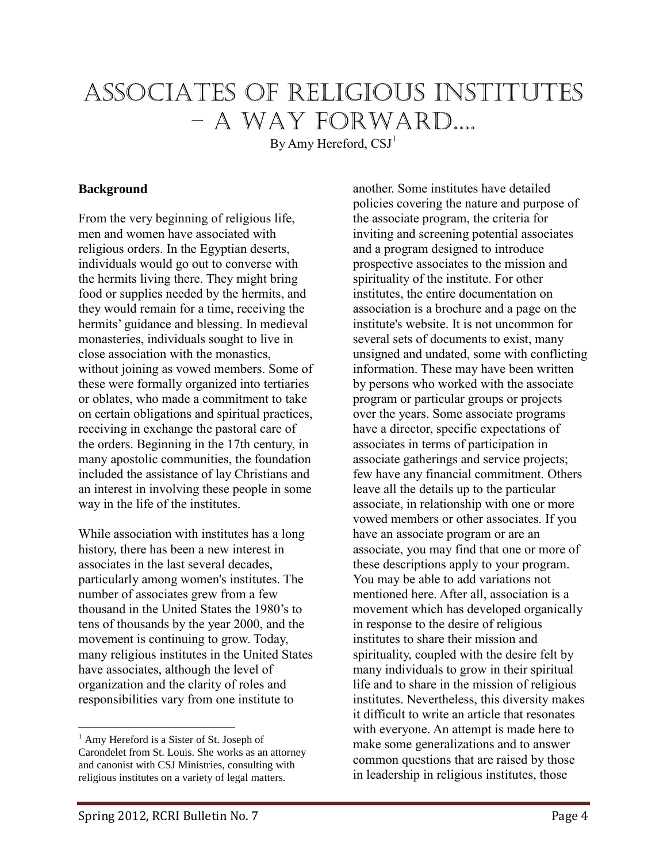# Associates of Religious Institutes – A Way Forward....

By Amy Hereford,  $CSJ<sup>1</sup>$ 

#### **Background<sup>1</sup>**

From the very beginning of religious life, men and women have associated with religious orders. In the Egyptian deserts, individuals would go out to converse with the hermits living there. They might bring food or supplies needed by the hermits, and they would remain for a time, receiving the hermits' guidance and blessing. In medieval monasteries, individuals sought to live in close association with the monastics, without joining as vowed members. Some of these were formally organized into tertiaries or oblates, who made a commitment to take on certain obligations and spiritual practices, receiving in exchange the pastoral care of the orders. Beginning in the 17th century, in many apostolic communities, the foundation included the assistance of lay Christians and an interest in involving these people in some way in the life of the institutes.

While association with institutes has a long history, there has been a new interest in associates in the last several decades, particularly among women's institutes. The number of associates grew from a few thousand in the United States the 1980's to tens of thousands by the year 2000, and the movement is continuing to grow. Today, many religious institutes in the United States have associates, although the level of organization and the clarity of roles and responsibilities vary from one institute to

another. Some institutes have detailed policies covering the nature and purpose of the associate program, the criteria for inviting and screening potential associates and a program designed to introduce prospective associates to the mission and spirituality of the institute. For other institutes, the entire documentation on association is a brochure and a page on the institute's website. It is not uncommon for several sets of documents to exist, many unsigned and undated, some with conflicting information. These may have been written by persons who worked with the associate program or particular groups or projects over the years. Some associate programs have a director, specific expectations of associates in terms of participation in associate gatherings and service projects; few have any financial commitment. Others leave all the details up to the particular associate, in relationship with one or more vowed members or other associates. If you have an associate program or are an associate, you may find that one or more of these descriptions apply to your program. You may be able to add variations not mentioned here. After all, association is a movement which has developed organically in response to the desire of religious institutes to share their mission and spirituality, coupled with the desire felt by many individuals to grow in their spiritual life and to share in the mission of religious institutes. Nevertheless, this diversity makes it difficult to write an article that resonates with everyone. An attempt is made here to make some generalizations and to answer common questions that are raised by those in leadership in religious institutes, those

<sup>&</sup>lt;sup>1</sup> Amy Hereford is a Sister of St. Joseph of Carondelet from St. Louis. She works as an attorney and canonist with CSJ Ministries, consulting with religious institutes on a variety of legal matters.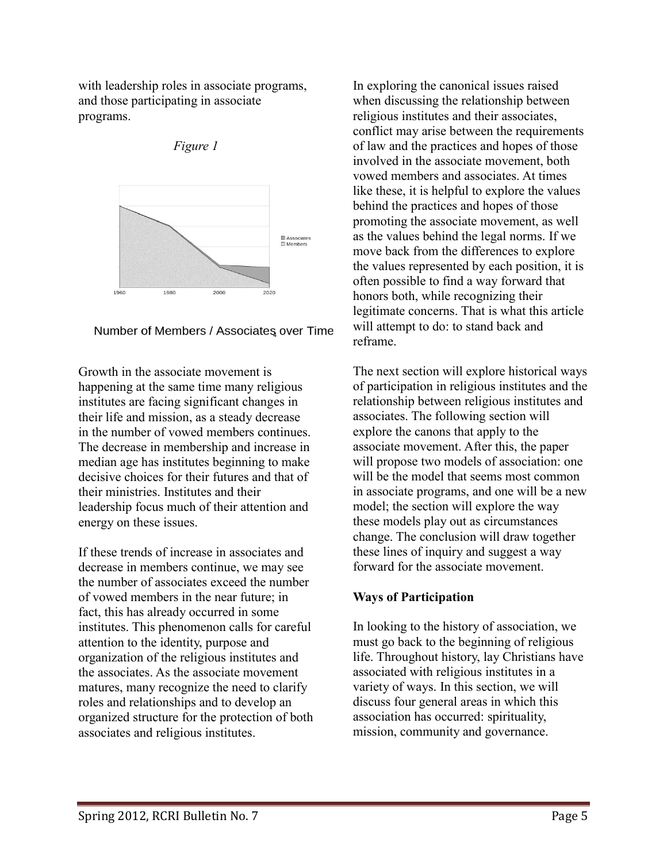with leadership roles in associate programs, and those participating in associate programs.



*Figure 1*

Number of Members / Associates over Time

Growth in the associate movement is happening at the same time many religious institutes are facing significant changes in their life and mission, as a steady decrease in the number of vowed members continues. The decrease in membership and increase in median age has institutes beginning to make decisive choices for their futures and that of their ministries. Institutes and their leadership focus much of their attention and energy on these issues.

If these trends of increase in associates and decrease in members continue, we may see the number of associates exceed the number of vowed members in the near future; in fact, this has already occurred in some institutes. This phenomenon calls for careful attention to the identity, purpose and organization of the religious institutes and the associates. As the associate movement matures, many recognize the need to clarify roles and relationships and to develop an organized structure for the protection of both associates and religious institutes.

In exploring the canonical issues raised when discussing the relationship between religious institutes and their associates, conflict may arise between the requirements of law and the practices and hopes of those involved in the associate movement, both vowed members and associates. At times like these, it is helpful to explore the values behind the practices and hopes of those promoting the associate movement, as well as the values behind the legal norms. If we move back from the differences to explore the values represented by each position, it is often possible to find a way forward that honors both, while recognizing their legitimate concerns. That is what this article will attempt to do: to stand back and reframe.

The next section will explore historical ways of participation in religious institutes and the relationship between religious institutes and associates. The following section will explore the canons that apply to the associate movement. After this, the paper will propose two models of association: one will be the model that seems most common in associate programs, and one will be a new model; the section will explore the way these models play out as circumstances change. The conclusion will draw together these lines of inquiry and suggest a way forward for the associate movement.

## **Ways of Participation**

In looking to the history of association, we must go back to the beginning of religious life. Throughout history, lay Christians have associated with religious institutes in a variety of ways. In this section, we will discuss four general areas in which this association has occurred: spirituality, mission, community and governance.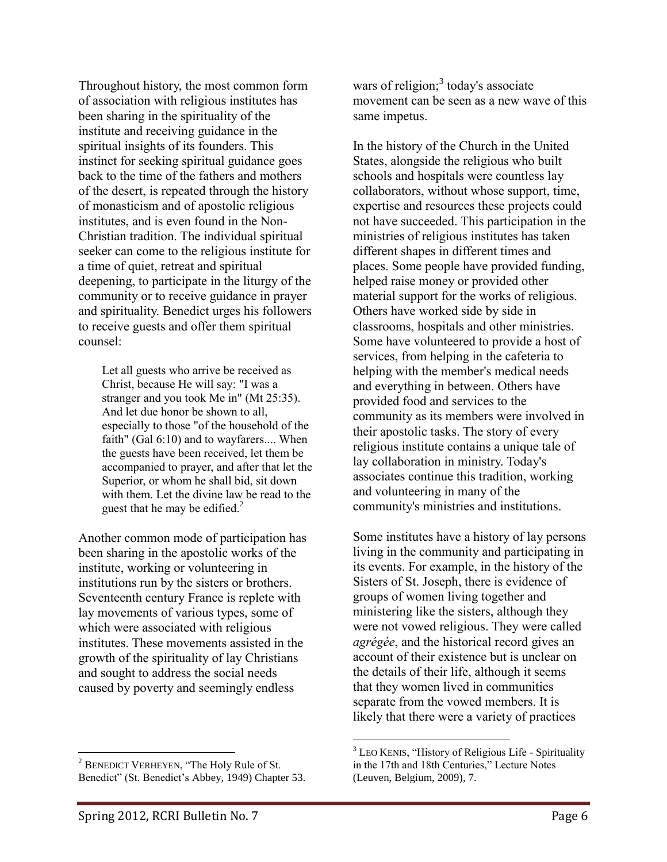Throughout history, the most common form of association with religious institutes has been sharing in the spirituality of the institute and receiving guidance in the spiritual insights of its founders. This instinct for seeking spiritual guidance goes back to the time of the fathers and mothers of the desert, is repeated through the history of monasticism and of apostolic religious institutes, and is even found in the Non-Christian tradition. The individual spiritual seeker can come to the religious institute for a time of quiet, retreat and spiritual deepening, to participate in the liturgy of the community or to receive guidance in prayer and spirituality. Benedict urges his followers to receive guests and offer them spiritual counsel:

Let all guests who arrive be received as Christ, because He will say: "I was a stranger and you took Me in" (Mt 25:35). And let due honor be shown to all, especially to those "of the household of the faith" (Gal 6:10) and to wayfarers.... When the guests have been received, let them be accompanied to prayer, and after that let the Superior, or whom he shall bid, sit down with them. Let the divine law be read to the guest that he may be edified.<sup>2</sup>

Another common mode of participation has been sharing in the apostolic works of the institute, working or volunteering in institutions run by the sisters or brothers. Seventeenth century France is replete with lay movements of various types, some of which were associated with religious institutes. These movements assisted in the growth of the spirituality of lay Christians and sought to address the social needs caused by poverty and seemingly endless

wars of religion; $3$  today's associate movement can be seen as a new wave of this same impetus.

In the history of the Church in the United States, alongside the religious who built schools and hospitals were countless lay collaborators, without whose support, time, expertise and resources these projects could not have succeeded. This participation in the ministries of religious institutes has taken different shapes in different times and places. Some people have provided funding, helped raise money or provided other material support for the works of religious. Others have worked side by side in classrooms, hospitals and other ministries. Some have volunteered to provide a host of services, from helping in the cafeteria to helping with the member's medical needs and everything in between. Others have provided food and services to the community as its members were involved in their apostolic tasks. The story of every religious institute contains a unique tale of lay collaboration in ministry. Today's associates continue this tradition, working and volunteering in many of the community's ministries and institutions.

Some institutes have a history of lay persons living in the community and participating in its events. For example, in the history of the Sisters of St. Joseph, there is evidence of groups of women living together and ministering like the sisters, although they were not vowed religious. They were called *agrégée*, and the historical record gives an account of their existence but is unclear on the details of their life, although it seems that they women lived in communities separate from the vowed members. It is likely that there were a variety of practices

 $\overline{a}$ <sup>2</sup> BENEDICT VERHEYEN, "The Holy Rule of St. Benedict" (St. Benedict's Abbey, 1949) Chapter 53.

 $\overline{a}$ <sup>3</sup> LEO KENIS, "History of Religious Life - Spirituality in the 17th and 18th Centuries," Lecture Notes (Leuven, Belgium, 2009), 7.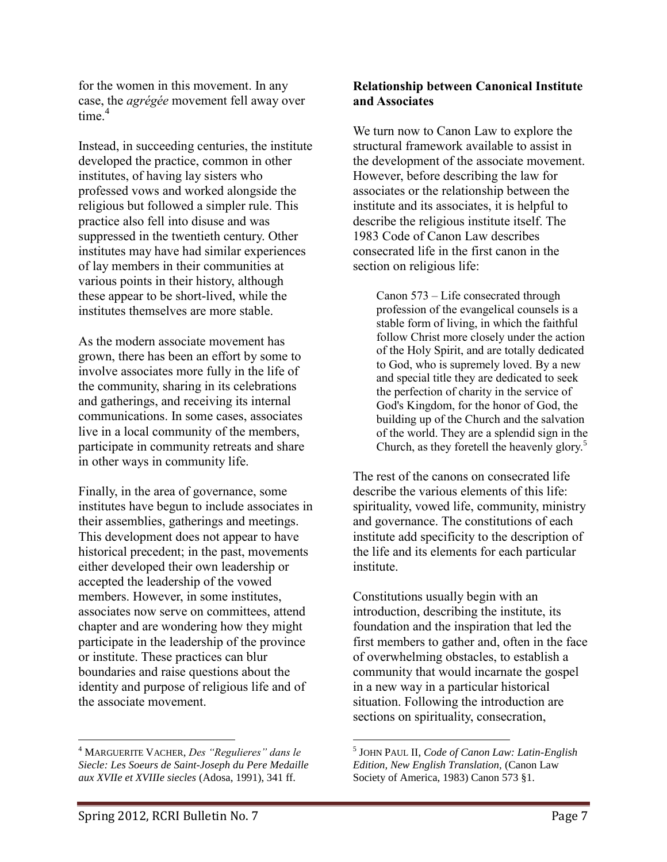for the women in this movement. In any case, the *agrégée* movement fell away over  $time<sup>4</sup>$ 

Instead, in succeeding centuries, the institute developed the practice, common in other institutes, of having lay sisters who professed vows and worked alongside the religious but followed a simpler rule. This practice also fell into disuse and was suppressed in the twentieth century. Other institutes may have had similar experiences of lay members in their communities at various points in their history, although these appear to be short-lived, while the institutes themselves are more stable.

As the modern associate movement has grown, there has been an effort by some to involve associates more fully in the life of the community, sharing in its celebrations and gatherings, and receiving its internal communications. In some cases, associates live in a local community of the members, participate in community retreats and share in other ways in community life.

Finally, in the area of governance, some institutes have begun to include associates in their assemblies, gatherings and meetings. This development does not appear to have historical precedent; in the past, movements either developed their own leadership or accepted the leadership of the vowed members. However, in some institutes, associates now serve on committees, attend chapter and are wondering how they might participate in the leadership of the province or institute. These practices can blur boundaries and raise questions about the identity and purpose of religious life and of the associate movement.

#### **Relationship between Canonical Institute and Associates**

We turn now to Canon Law to explore the structural framework available to assist in the development of the associate movement. However, before describing the law for associates or the relationship between the institute and its associates, it is helpful to describe the religious institute itself. The 1983 Code of Canon Law describes consecrated life in the first canon in the section on religious life:

Canon 573 – Life consecrated through profession of the evangelical counsels is a stable form of living, in which the faithful follow Christ more closely under the action of the Holy Spirit, and are totally dedicated to God, who is supremely loved. By a new and special title they are dedicated to seek the perfection of charity in the service of God's Kingdom, for the honor of God, the building up of the Church and the salvation of the world. They are a splendid sign in the Church, as they foretell the heavenly glory.<sup>5</sup>

The rest of the canons on consecrated life describe the various elements of this life: spirituality, vowed life, community, ministry and governance. The constitutions of each institute add specificity to the description of the life and its elements for each particular institute.

Constitutions usually begin with an introduction, describing the institute, its foundation and the inspiration that led the first members to gather and, often in the face of overwhelming obstacles, to establish a community that would incarnate the gospel in a new way in a particular historical situation. Following the introduction are sections on spirituality, consecration,

 $\overline{a}$ 

<sup>4</sup> MARGUERITE VACHER, *Des "Regulieres" dans le Siecle: Les Soeurs de Saint-Joseph du Pere Medaille aux XVIIe et XVIIIe siecles* (Adosa, 1991), 341 ff.

<sup>5</sup> JOHN PAUL II, *Code of Canon Law: Latin-English Edition, New English Translation,* (Canon Law Society of America, 1983) Canon 573 §1.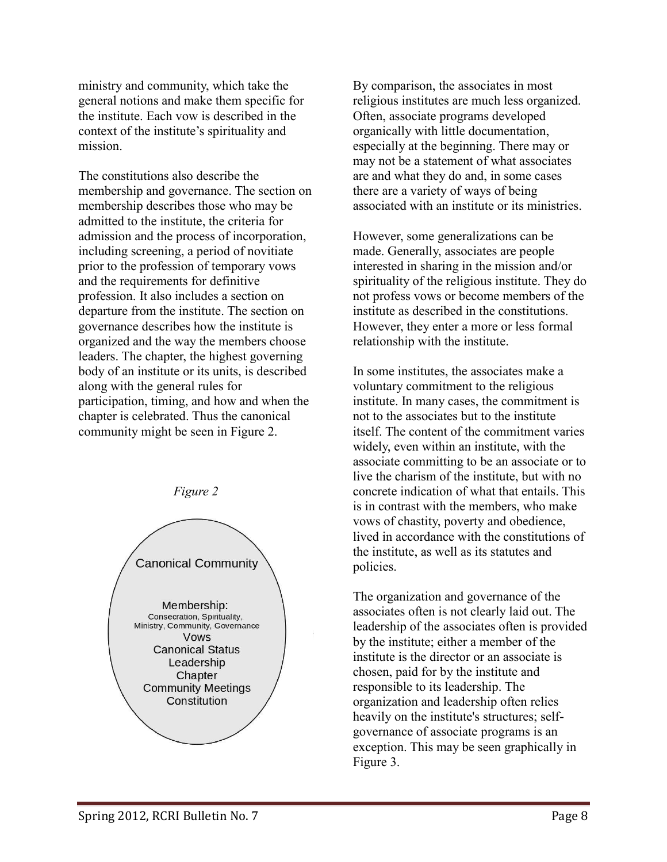ministry and community, which take the general notions and make them specific for the institute. Each vow is described in the context of the institute's spirituality and mission.

The constitutions also describe the membership and governance. The section on membership describes those who may be admitted to the institute, the criteria for admission and the process of incorporation, including screening, a period of novitiate prior to the profession of temporary vows and the requirements for definitive profession. It also includes a section on departure from the institute. The section on governance describes how the institute is organized and the way the members choose leaders. The chapter, the highest governing body of an institute or its units, is described along with the general rules for participation, timing, and how and when the chapter is celebrated. Thus the canonical community might be seen in Figure 2.



By comparison, the associates in most religious institutes are much less organized. Often, associate programs developed organically with little documentation, especially at the beginning. There may or may not be a statement of what associates are and what they do and, in some cases there are a variety of ways of being associated with an institute or its ministries.

However, some generalizations can be made. Generally, associates are people interested in sharing in the mission and/or spirituality of the religious institute. They do not profess vows or become members of the institute as described in the constitutions. However, they enter a more or less formal relationship with the institute.

In some institutes, the associates make a voluntary commitment to the religious institute. In many cases, the commitment is not to the associates but to the institute itself. The content of the commitment varies widely, even within an institute, with the associate committing to be an associate or to live the charism of the institute, but with no concrete indication of what that entails. This is in contrast with the members, who make vows of chastity, poverty and obedience, lived in accordance with the constitutions of the institute, as well as its statutes and policies.

The organization and governance of the associates often is not clearly laid out. The leadership of the associates often is provided by the institute; either a member of the institute is the director or an associate is chosen, paid for by the institute and responsible to its leadership. The organization and leadership often relies heavily on the institute's structures; selfgovernance of associate programs is an exception. This may be seen graphically in Figure 3.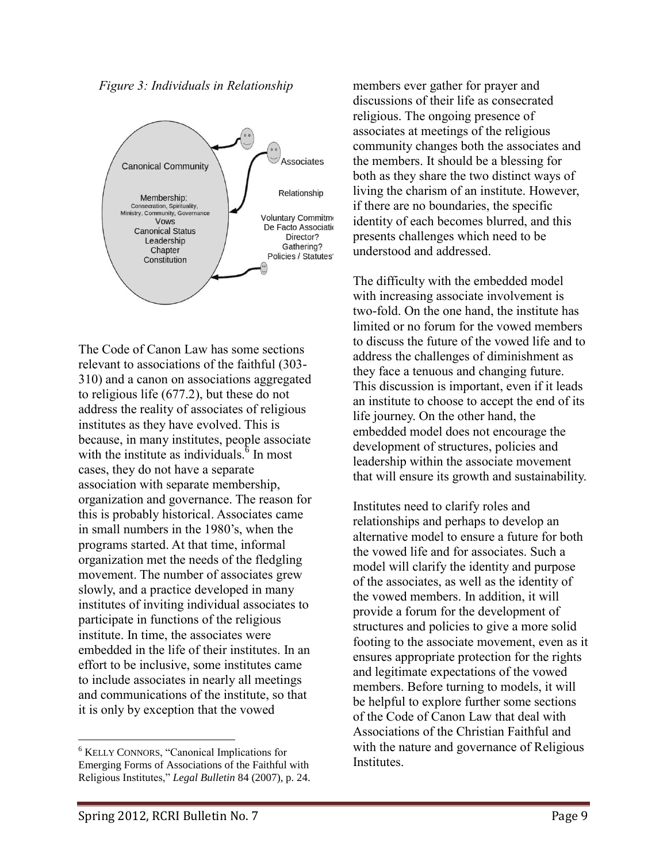*Figure 3: Individuals in Relationship*



The Code of Canon Law has some sections relevant to associations of the faithful (303- 310) and a canon on associations aggregated to religious life (677.2), but these do not address the reality of associates of religious institutes as they have evolved. This is because, in many institutes, people associate with the institute as individuals. $\delta$  In most cases, they do not have a separate association with separate membership, organization and governance. The reason for this is probably historical. Associates came in small numbers in the 1980's, when the programs started. At that time, informal organization met the needs of the fledgling movement. The number of associates grew slowly, and a practice developed in many institutes of inviting individual associates to participate in functions of the religious institute. In time, the associates were embedded in the life of their institutes. In an effort to be inclusive, some institutes came to include associates in nearly all meetings and communications of the institute, so that it is only by exception that the vowed

members ever gather for prayer and discussions of their life as consecrated religious. The ongoing presence of associates at meetings of the religious community changes both the associates and the members. It should be a blessing for both as they share the two distinct ways of living the charism of an institute. However, if there are no boundaries, the specific identity of each becomes blurred, and this presents challenges which need to be understood and addressed.

The difficulty with the embedded model with increasing associate involvement is two-fold. On the one hand, the institute has limited or no forum for the vowed members to discuss the future of the vowed life and to address the challenges of diminishment as they face a tenuous and changing future. This discussion is important, even if it leads an institute to choose to accept the end of its life journey. On the other hand, the embedded model does not encourage the development of structures, policies and leadership within the associate movement that will ensure its growth and sustainability.

Institutes need to clarify roles and relationships and perhaps to develop an alternative model to ensure a future for both the vowed life and for associates. Such a model will clarify the identity and purpose of the associates, as well as the identity of the vowed members. In addition, it will provide a forum for the development of structures and policies to give a more solid footing to the associate movement, even as it ensures appropriate protection for the rights and legitimate expectations of the vowed members. Before turning to models, it will be helpful to explore further some sections of the Code of Canon Law that deal with Associations of the Christian Faithful and with the nature and governance of Religious Institutes.

<sup>6</sup> KELLY CONNORS, "Canonical Implications for Emerging Forms of Associations of the Faithful with Religious Institutes," *Legal Bulletin* 84 (2007), p. 24.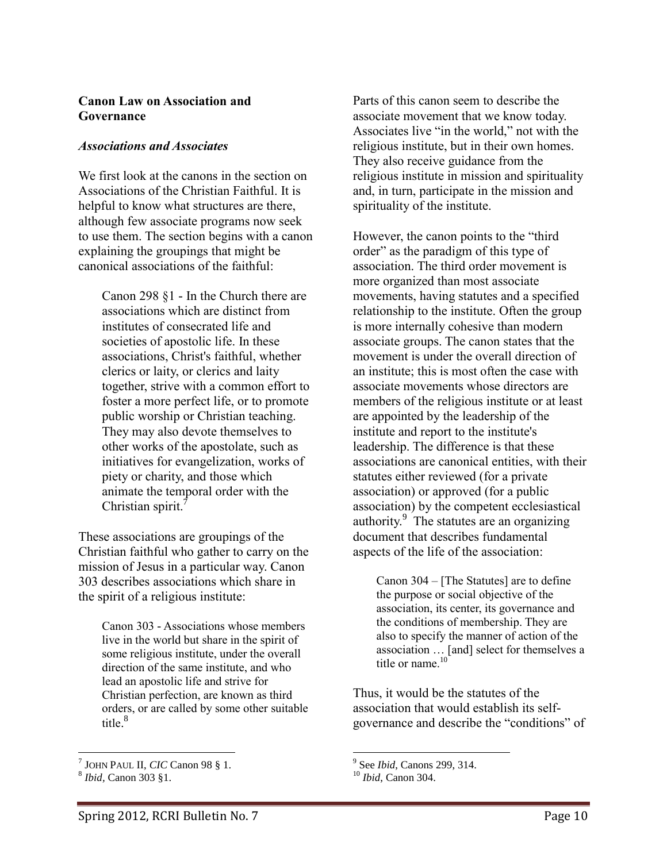#### **Canon Law on Association and Governance**

#### *Associations and Associates*

We first look at the canons in the section on Associations of the Christian Faithful. It is helpful to know what structures are there, although few associate programs now seek to use them. The section begins with a canon explaining the groupings that might be canonical associations of the faithful:

Canon 298 §1 - In the Church there are associations which are distinct from institutes of consecrated life and societies of apostolic life. In these associations, Christ's faithful, whether clerics or laity, or clerics and laity together, strive with a common effort to foster a more perfect life, or to promote public worship or Christian teaching. They may also devote themselves to other works of the apostolate, such as initiatives for evangelization, works of piety or charity, and those which animate the temporal order with the Christian spirit.<sup>7</sup>

These associations are groupings of the Christian faithful who gather to carry on the mission of Jesus in a particular way. Canon 303 describes associations which share in the spirit of a religious institute:

> Canon 303 - Associations whose members live in the world but share in the spirit of some religious institute, under the overall direction of the same institute, and who lead an apostolic life and strive for Christian perfection, are known as third orders, or are called by some other suitable title. 8

Parts of this canon seem to describe the associate movement that we know today. Associates live "in the world," not with the religious institute, but in their own homes. They also receive guidance from the religious institute in mission and spirituality and, in turn, participate in the mission and spirituality of the institute.

However, the canon points to the "third order" as the paradigm of this type of association. The third order movement is more organized than most associate movements, having statutes and a specified relationship to the institute. Often the group is more internally cohesive than modern associate groups. The canon states that the movement is under the overall direction of an institute; this is most often the case with associate movements whose directors are members of the religious institute or at least are appointed by the leadership of the institute and report to the institute's leadership. The difference is that these associations are canonical entities, with their statutes either reviewed (for a private association) or approved (for a public association) by the competent ecclesiastical authority.<sup>9</sup> The statutes are an organizing document that describes fundamental aspects of the life of the association:

Canon 304 – [The Statutes] are to define the purpose or social objective of the association, its center, its governance and the conditions of membership. They are also to specify the manner of action of the association … [and] select for themselves a title or name.<sup>10</sup>

Thus, it would be the statutes of the association that would establish its selfgovernance and describe the "conditions" of

 7 JOHN PAUL II, *CIC* Canon 98 § 1.

<sup>8</sup> *Ibid,* Canon 303 §1.

 9 See *Ibid*, Canons 299, 314.

<sup>10</sup> *Ibid*, Canon 304.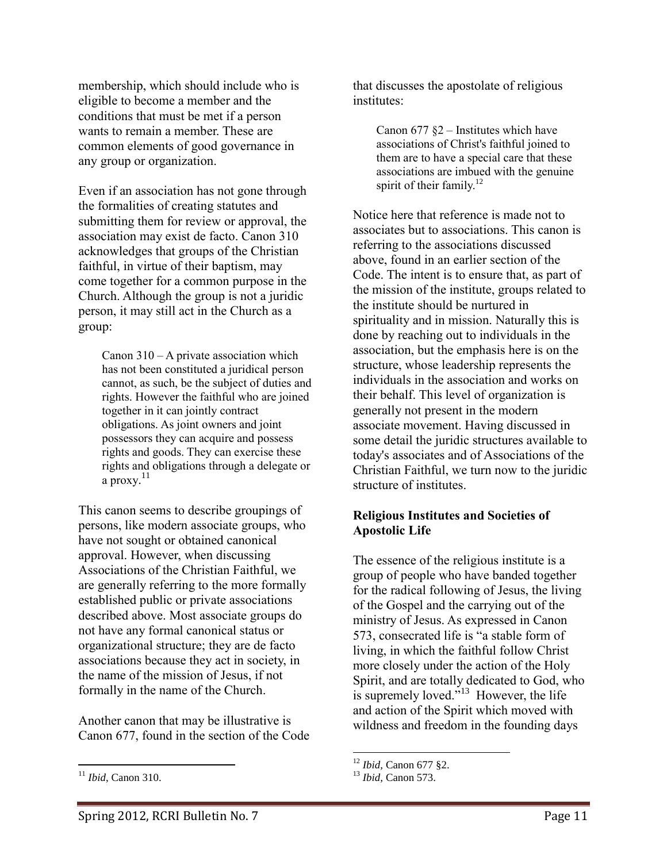membership, which should include who is eligible to become a member and the conditions that must be met if a person wants to remain a member. These are common elements of good governance in any group or organization.

Even if an association has not gone through the formalities of creating statutes and submitting them for review or approval, the association may exist de facto. Canon 310 acknowledges that groups of the Christian faithful, in virtue of their baptism, may come together for a common purpose in the Church. Although the group is not a juridic person, it may still act in the Church as a group:

> Canon 310 – A private association which has not been constituted a juridical person cannot, as such, be the subject of duties and rights. However the faithful who are joined together in it can jointly contract obligations. As joint owners and joint possessors they can acquire and possess rights and goods. They can exercise these rights and obligations through a delegate or a proxy. $11$

This canon seems to describe groupings of persons, like modern associate groups, who have not sought or obtained canonical approval. However, when discussing Associations of the Christian Faithful, we are generally referring to the more formally established public or private associations described above. Most associate groups do not have any formal canonical status or organizational structure; they are de facto associations because they act in society, in the name of the mission of Jesus, if not formally in the name of the Church.

Another canon that may be illustrative is Canon 677, found in the section of the Code

 $\overline{a}$ 

that discusses the apostolate of religious institutes:

> Canon  $677$   $\S2$  – Institutes which have associations of Christ's faithful joined to them are to have a special care that these associations are imbued with the genuine spirit of their family.<sup>12</sup>

Notice here that reference is made not to associates but to associations. This canon is referring to the associations discussed above, found in an earlier section of the Code. The intent is to ensure that, as part of the mission of the institute, groups related to the institute should be nurtured in spirituality and in mission. Naturally this is done by reaching out to individuals in the association, but the emphasis here is on the structure, whose leadership represents the individuals in the association and works on their behalf. This level of organization is generally not present in the modern associate movement. Having discussed in some detail the juridic structures available to today's associates and of Associations of the Christian Faithful, we turn now to the juridic structure of institutes.

## **Religious Institutes and Societies of Apostolic Life**

The essence of the religious institute is a group of people who have banded together for the radical following of Jesus, the living of the Gospel and the carrying out of the ministry of Jesus. As expressed in Canon 573, consecrated life is "a stable form of living, in which the faithful follow Christ more closely under the action of the Holy Spirit, and are totally dedicated to God, who is supremely loved. $i^{13}$  However, the life and action of the Spirit which moved with wildness and freedom in the founding days

<sup>11</sup> *Ibid*, Canon 310.

<sup>12</sup> *Ibid,* Canon 677 §2.

<sup>13</sup> *Ibid,* Canon 573.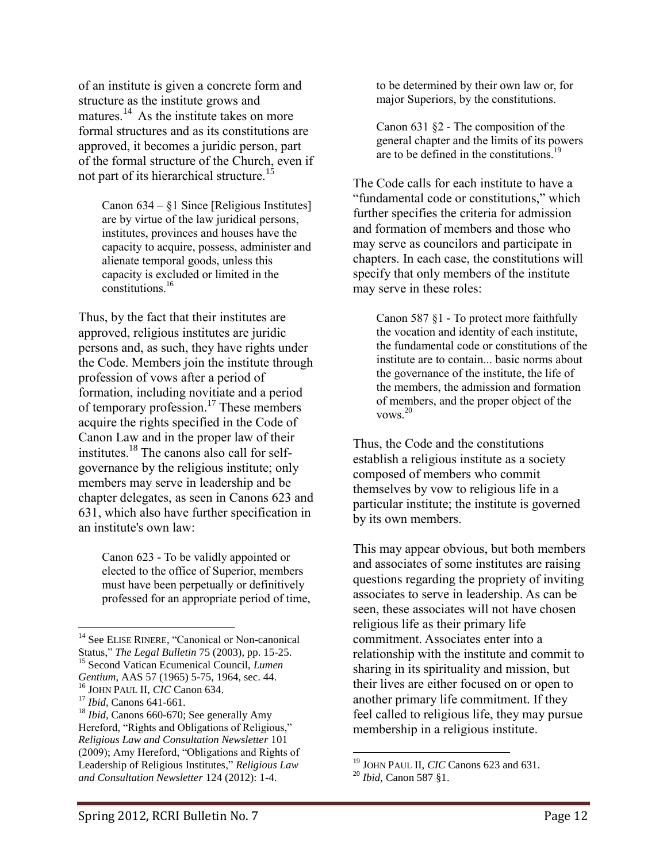of an institute is given a concrete form and structure as the institute grows and matures.<sup>14</sup> As the institute takes on more formal structures and as its constitutions are approved, it becomes a juridic person, part of the formal structure of the Church, even if not part of its hierarchical structure.<sup>15</sup>

> Canon 634 – §1 Since [Religious Institutes] are by virtue of the law juridical persons, institutes, provinces and houses have the capacity to acquire, possess, administer and alienate temporal goods, unless this capacity is excluded or limited in the constitutions.<sup>16</sup>

Thus, by the fact that their institutes are approved, religious institutes are juridic persons and, as such, they have rights under the Code. Members join the institute through profession of vows after a period of formation, including novitiate and a period of temporary profession.<sup>17</sup> These members acquire the rights specified in the Code of Canon Law and in the proper law of their institutes.<sup>18</sup> The canons also call for selfgovernance by the religious institute; only members may serve in leadership and be chapter delegates, as seen in Canons 623 and 631, which also have further specification in an institute's own law:

> Canon 623 - To be validly appointed or elected to the office of Superior, members must have been perpetually or definitively professed for an appropriate period of time,

to be determined by their own law or, for major Superiors, by the constitutions.

Canon 631 §2 - The composition of the general chapter and the limits of its powers are to be defined in the constitutions.<sup>19</sup>

The Code calls for each institute to have a "fundamental code or constitutions," which further specifies the criteria for admission and formation of members and those who may serve as councilors and participate in chapters. In each case, the constitutions will specify that only members of the institute may serve in these roles:

Canon 587 §1 - To protect more faithfully the vocation and identity of each institute, the fundamental code or constitutions of the institute are to contain... basic norms about the governance of the institute, the life of the members, the admission and formation of members, and the proper object of the vows.<sup>20</sup>

Thus, the Code and the constitutions establish a religious institute as a society composed of members who commit themselves by vow to religious life in a particular institute; the institute is governed by its own members.

This may appear obvious, but both members and associates of some institutes are raising questions regarding the propriety of inviting associates to serve in leadership. As can be seen, these associates will not have chosen religious life as their primary life commitment. Associates enter into a relationship with the institute and commit to sharing in its spirituality and mission, but their lives are either focused on or open to another primary life commitment. If they feel called to religious life, they may pursue membership in a religious institute.

 $\overline{a}$ <sup>14</sup> See ELISE RINERE, "Canonical or Non-canonical Status," *The Legal Bulletin* 75 (2003), pp. 15-25. <sup>15</sup> Second Vatican Ecumenical Council, *Lumen* 

*Gentium*, AAS 57 (1965) 5-75, 1964, sec. 44.

<sup>16</sup> JOHN PAUL II, *CIC* Canon 634.

<sup>17</sup> *Ibid,* Canons 641-661.

<sup>18</sup> *Ibid,* Canons 660-670; See generally Amy Hereford, "Rights and Obligations of Religious," *Religious Law and Consultation Newsletter* 101 (2009); Amy Hereford, "Obligations and Rights of Leadership of Religious Institutes," *Religious Law and Consultation Newsletter* 124 (2012): 1-4.

<sup>19</sup> JOHN PAUL II, *CIC* Canons 623 and 631.

<sup>20</sup> *Ibid*, Canon 587 §1.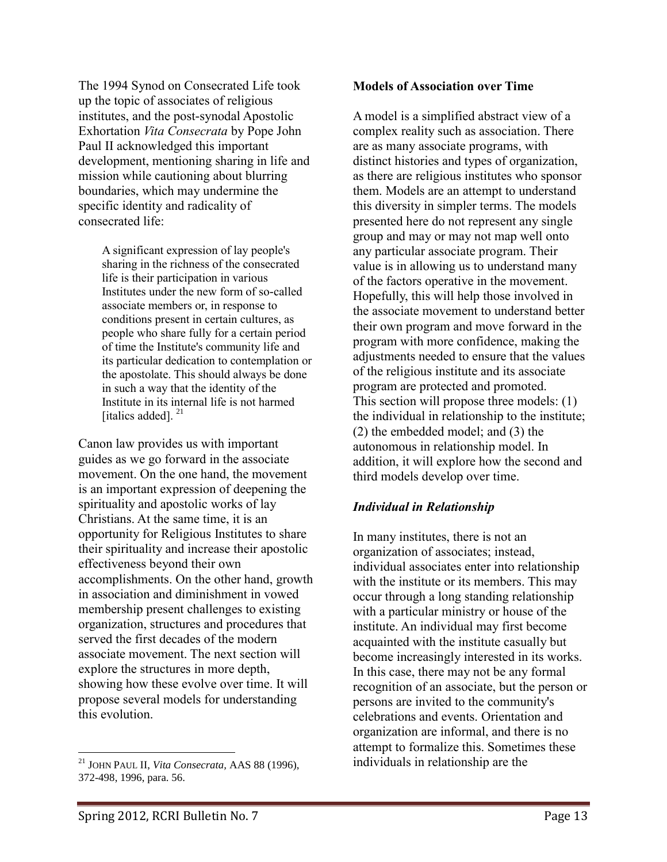The 1994 Synod on Consecrated Life took up the topic of associates of religious institutes, and the post-synodal Apostolic Exhortation *Vita Consecrata* by Pope John Paul II acknowledged this important development, mentioning sharing in life and mission while cautioning about blurring boundaries, which may undermine the specific identity and radicality of consecrated life:

> A significant expression of lay people's sharing in the richness of the consecrated life is their participation in various Institutes under the new form of so-called associate members or, in response to conditions present in certain cultures, as people who share fully for a certain period of time the Institute's community life and its particular dedication to contemplation or the apostolate. This should always be done in such a way that the identity of the Institute in its internal life is not harmed [italics added].<sup>21</sup>

Canon law provides us with important guides as we go forward in the associate movement. On the one hand, the movement is an important expression of deepening the spirituality and apostolic works of lay Christians. At the same time, it is an opportunity for Religious Institutes to share their spirituality and increase their apostolic effectiveness beyond their own accomplishments. On the other hand, growth in association and diminishment in vowed membership present challenges to existing organization, structures and procedures that served the first decades of the modern associate movement. The next section will explore the structures in more depth, showing how these evolve over time. It will propose several models for understanding this evolution.

#### **Models of Association over Time**

A model is a simplified abstract view of a complex reality such as association. There are as many associate programs, with distinct histories and types of organization, as there are religious institutes who sponsor them. Models are an attempt to understand this diversity in simpler terms. The models presented here do not represent any single group and may or may not map well onto any particular associate program. Their value is in allowing us to understand many of the factors operative in the movement. Hopefully, this will help those involved in the associate movement to understand better their own program and move forward in the program with more confidence, making the adjustments needed to ensure that the values of the religious institute and its associate program are protected and promoted. This section will propose three models: (1) the individual in relationship to the institute; (2) the embedded model; and (3) the autonomous in relationship model. In addition, it will explore how the second and third models develop over time.

## *Individual in Relationship*

In many institutes, there is not an organization of associates; instead, individual associates enter into relationship with the institute or its members. This may occur through a long standing relationship with a particular ministry or house of the institute. An individual may first become acquainted with the institute casually but become increasingly interested in its works. In this case, there may not be any formal recognition of an associate, but the person or persons are invited to the community's celebrations and events. Orientation and organization are informal, and there is no attempt to formalize this. Sometimes these individuals in relationship are the

 $\overline{a}$ <sup>21</sup> JOHN PAUL II, *Vita Consecrata,* AAS 88 (1996), 372-498, 1996, para. 56.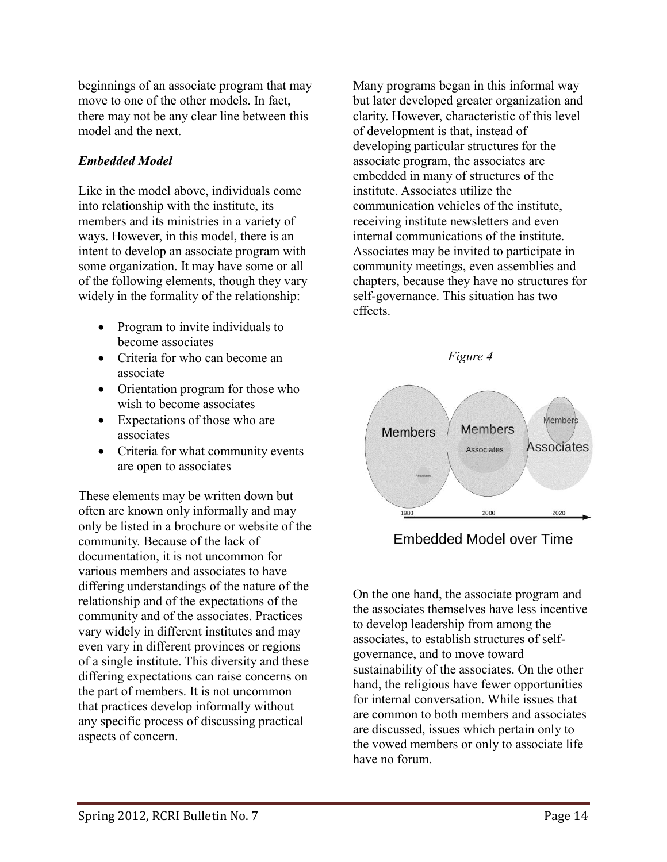beginnings of an associate program that may move to one of the other models. In fact, there may not be any clear line between this model and the next.

# *Embedded Model*

Like in the model above, individuals come into relationship with the institute, its members and its ministries in a variety of ways. However, in this model, there is an intent to develop an associate program with some organization. It may have some or all of the following elements, though they vary widely in the formality of the relationship:

- Program to invite individuals to become associates
- Criteria for who can become an associate
- Orientation program for those who wish to become associates
- Expectations of those who are associates
- Criteria for what community events are open to associates

These elements may be written down but often are known only informally and may only be listed in a brochure or website of the community. Because of the lack of documentation, it is not uncommon for various members and associates to have differing understandings of the nature of the relationship and of the expectations of the community and of the associates. Practices vary widely in different institutes and may even vary in different provinces or regions of a single institute. This diversity and these differing expectations can raise concerns on the part of members. It is not uncommon that practices develop informally without any specific process of discussing practical aspects of concern.

Many programs began in this informal way but later developed greater organization and clarity. However, characteristic of this level of development is that, instead of developing particular structures for the associate program, the associates are embedded in many of structures of the institute. Associates utilize the communication vehicles of the institute, receiving institute newsletters and even internal communications of the institute. Associates may be invited to participate in community meetings, even assemblies and chapters, because they have no structures for self-governance. This situation has two effects.



**Embedded Model over Time** 

On the one hand, the associate program and the associates themselves have less incentive to develop leadership from among the associates, to establish structures of selfgovernance, and to move toward sustainability of the associates. On the other hand, the religious have fewer opportunities for internal conversation. While issues that are common to both members and associates are discussed, issues which pertain only to the vowed members or only to associate life have no forum.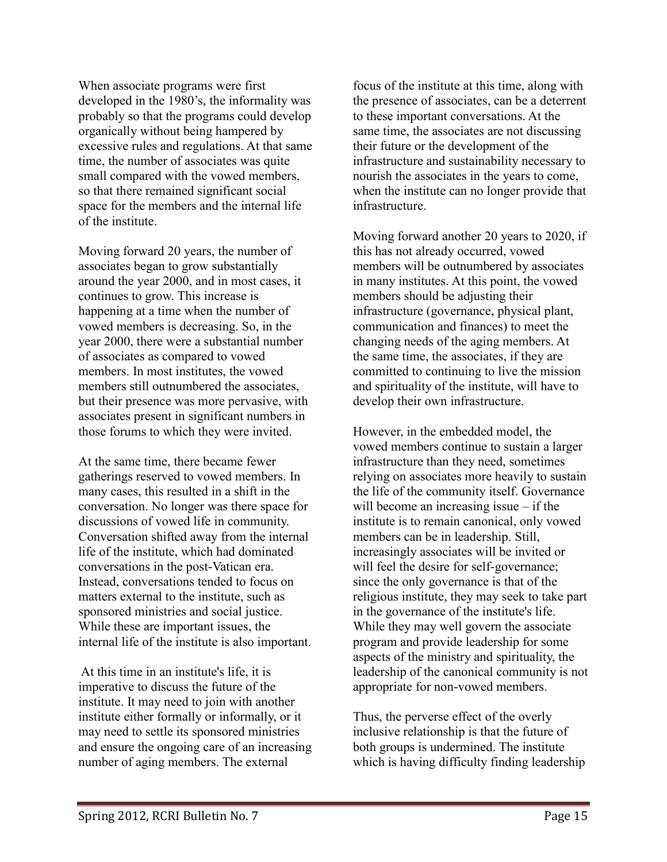When associate programs were first developed in the 1980's, the informality was probably so that the programs could develop organically without being hampered by excessive rules and regulations. At that same time, the number of associates was quite small compared with the vowed members, so that there remained significant social space for the members and the internal life of the institute.

Moving forward 20 years, the number of associates began to grow substantially around the year 2000, and in most cases, it continues to grow. This increase is happening at a time when the number of vowed members is decreasing. So, in the year 2000, there were a substantial number of associates as compared to vowed members. In most institutes, the vowed members still outnumbered the associates, but their presence was more pervasive, with associates present in significant numbers in those forums to which they were invited.

At the same time, there became fewer gatherings reserved to vowed members. In many cases, this resulted in a shift in the conversation. No longer was there space for discussions of vowed life in community. Conversation shifted away from the internal life of the institute, which had dominated conversations in the post-Vatican era. Instead, conversations tended to focus on matters external to the institute, such as sponsored ministries and social justice. While these are important issues, the internal life of the institute is also important.

At this time in an institute's life, it is imperative to discuss the future of the institute. It may need to join with another institute either formally or informally, or it may need to settle its sponsored ministries and ensure the ongoing care of an increasing number of aging members. The external

focus of the institute at this time, along with the presence of associates, can be a deterrent to these important conversations. At the same time, the associates are not discussing their future or the development of the infrastructure and sustainability necessary to nourish the associates in the years to come, when the institute can no longer provide that infrastructure.

Moving forward another 20 years to 2020, if this has not already occurred, vowed members will be outnumbered by associates in many institutes. At this point, the vowed members should be adjusting their infrastructure (governance, physical plant, communication and finances) to meet the changing needs of the aging members. At the same time, the associates, if they are committed to continuing to live the mission and spirituality of the institute, will have to develop their own infrastructure.

However, in the embedded model, the vowed members continue to sustain a larger infrastructure than they need, sometimes relying on associates more heavily to sustain the life of the community itself. Governance will become an increasing issue – if the institute is to remain canonical, only vowed members can be in leadership. Still, increasingly associates will be invited or will feel the desire for self-governance; since the only governance is that of the religious institute, they may seek to take part in the governance of the institute's life. While they may well govern the associate program and provide leadership for some aspects of the ministry and spirituality, the leadership of the canonical community is not appropriate for non-vowed members.

Thus, the perverse effect of the overly inclusive relationship is that the future of both groups is undermined. The institute which is having difficulty finding leadership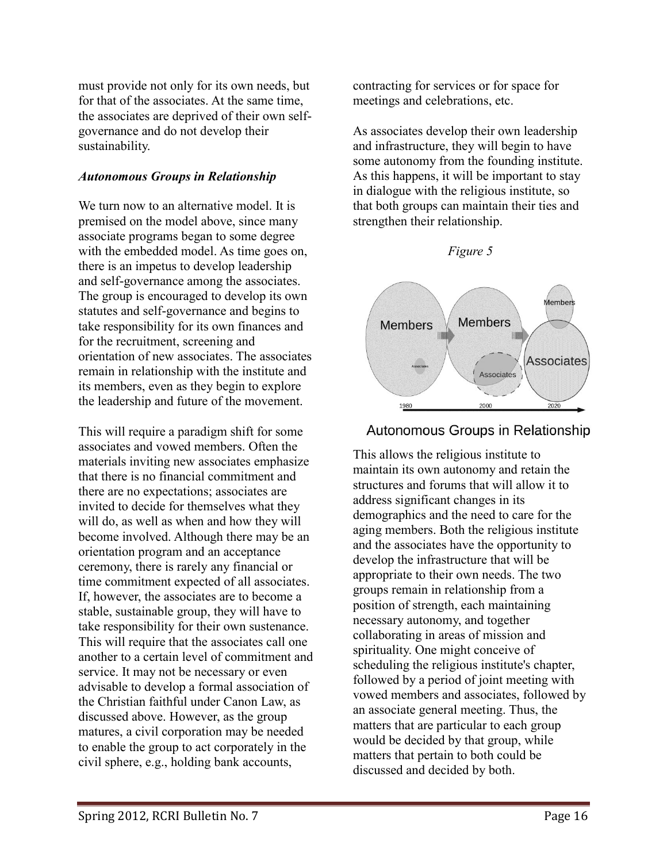must provide not only for its own needs, but for that of the associates. At the same time, the associates are deprived of their own selfgovernance and do not develop their sustainability.

# *Autonomous Groups in Relationship*

We turn now to an alternative model. It is premised on the model above, since many associate programs began to some degree with the embedded model. As time goes on, there is an impetus to develop leadership and self-governance among the associates. The group is encouraged to develop its own statutes and self-governance and begins to take responsibility for its own finances and for the recruitment, screening and orientation of new associates. The associates remain in relationship with the institute and its members, even as they begin to explore the leadership and future of the movement.

This will require a paradigm shift for some associates and vowed members. Often the materials inviting new associates emphasize that there is no financial commitment and there are no expectations; associates are invited to decide for themselves what they will do, as well as when and how they will become involved. Although there may be an orientation program and an acceptance ceremony, there is rarely any financial or time commitment expected of all associates. If, however, the associates are to become a stable, sustainable group, they will have to take responsibility for their own sustenance. This will require that the associates call one another to a certain level of commitment and service. It may not be necessary or even advisable to develop a formal association of the Christian faithful under Canon Law, as discussed above. However, as the group matures, a civil corporation may be needed to enable the group to act corporately in the civil sphere, e.g., holding bank accounts,

contracting for services or for space for meetings and celebrations, etc.

As associates develop their own leadership and infrastructure, they will begin to have some autonomy from the founding institute. As this happens, it will be important to stay in dialogue with the religious institute, so that both groups can maintain their ties and strengthen their relationship.





## Autonomous Groups in Relationship

This allows the religious institute to maintain its own autonomy and retain the structures and forums that will allow it to address significant changes in its demographics and the need to care for the aging members. Both the religious institute and the associates have the opportunity to develop the infrastructure that will be appropriate to their own needs. The two groups remain in relationship from a position of strength, each maintaining necessary autonomy, and together collaborating in areas of mission and spirituality. One might conceive of scheduling the religious institute's chapter, followed by a period of joint meeting with vowed members and associates, followed by an associate general meeting. Thus, the matters that are particular to each group would be decided by that group, while matters that pertain to both could be discussed and decided by both.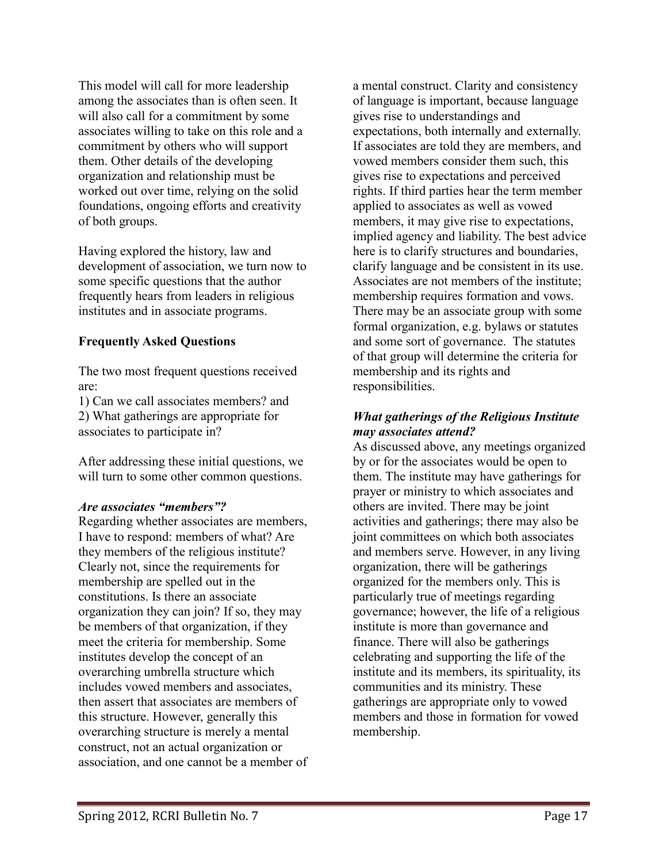This model will call for more leadership among the associates than is often seen. It will also call for a commitment by some associates willing to take on this role and a commitment by others who will support them. Other details of the developing organization and relationship must be worked out over time, relying on the solid foundations, ongoing efforts and creativity of both groups.

Having explored the history, law and development of association, we turn now to some specific questions that the author frequently hears from leaders in religious institutes and in associate programs.

## **Frequently Asked Questions**

The two most frequent questions received are:

1) Can we call associates members? and 2) What gatherings are appropriate for associates to participate in?

After addressing these initial questions, we will turn to some other common questions.

## *Are associates "members"?*

Regarding whether associates are members, I have to respond: members of what? Are they members of the religious institute? Clearly not, since the requirements for membership are spelled out in the constitutions. Is there an associate organization they can join? If so, they may be members of that organization, if they meet the criteria for membership. Some institutes develop the concept of an overarching umbrella structure which includes vowed members and associates, then assert that associates are members of this structure. However, generally this overarching structure is merely a mental construct, not an actual organization or association, and one cannot be a member of a mental construct. Clarity and consistency of language is important, because language gives rise to understandings and expectations, both internally and externally. If associates are told they are members, and vowed members consider them such, this gives rise to expectations and perceived rights. If third parties hear the term member applied to associates as well as vowed members, it may give rise to expectations, implied agency and liability. The best advice here is to clarify structures and boundaries, clarify language and be consistent in its use. Associates are not members of the institute; membership requires formation and vows. There may be an associate group with some formal organization, e.g. bylaws or statutes and some sort of governance. The statutes of that group will determine the criteria for membership and its rights and responsibilities.

## *What gatherings of the Religious Institute may associates attend?*

As discussed above, any meetings organized by or for the associates would be open to them. The institute may have gatherings for prayer or ministry to which associates and others are invited. There may be joint activities and gatherings; there may also be joint committees on which both associates and members serve. However, in any living organization, there will be gatherings organized for the members only. This is particularly true of meetings regarding governance; however, the life of a religious institute is more than governance and finance. There will also be gatherings celebrating and supporting the life of the institute and its members, its spirituality, its communities and its ministry. These gatherings are appropriate only to vowed members and those in formation for vowed membership.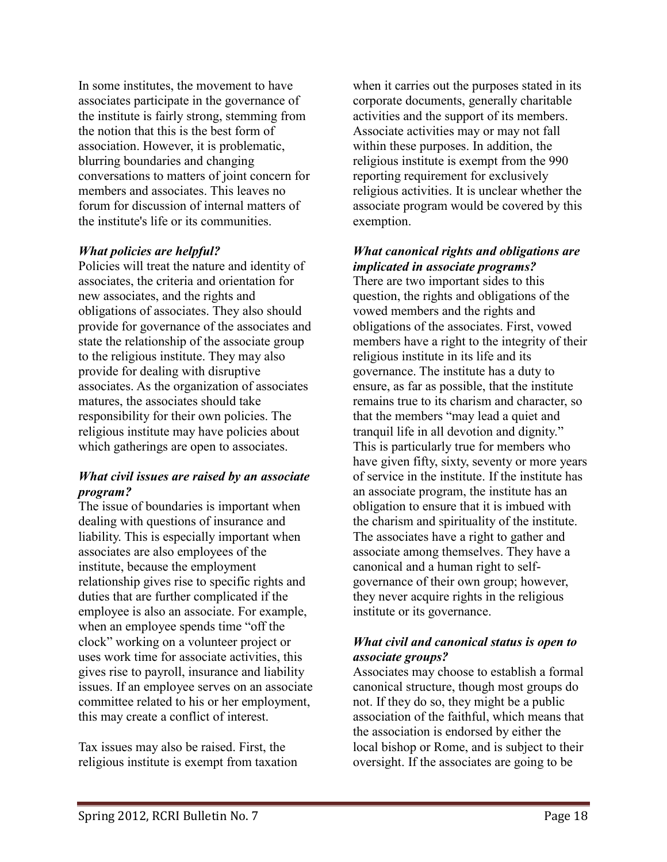In some institutes, the movement to have associates participate in the governance of the institute is fairly strong, stemming from the notion that this is the best form of association. However, it is problematic, blurring boundaries and changing conversations to matters of joint concern for members and associates. This leaves no forum for discussion of internal matters of the institute's life or its communities.

## *What policies are helpful?*

Policies will treat the nature and identity of associates, the criteria and orientation for new associates, and the rights and obligations of associates. They also should provide for governance of the associates and state the relationship of the associate group to the religious institute. They may also provide for dealing with disruptive associates. As the organization of associates matures, the associates should take responsibility for their own policies. The religious institute may have policies about which gatherings are open to associates.

## *What civil issues are raised by an associate program?*

The issue of boundaries is important when dealing with questions of insurance and liability. This is especially important when associates are also employees of the institute, because the employment relationship gives rise to specific rights and duties that are further complicated if the employee is also an associate. For example, when an employee spends time "off the clock" working on a volunteer project or uses work time for associate activities, this gives rise to payroll, insurance and liability issues. If an employee serves on an associate committee related to his or her employment, this may create a conflict of interest.

Tax issues may also be raised. First, the religious institute is exempt from taxation when it carries out the purposes stated in its corporate documents, generally charitable activities and the support of its members. Associate activities may or may not fall within these purposes. In addition, the religious institute is exempt from the 990 reporting requirement for exclusively religious activities. It is unclear whether the associate program would be covered by this exemption.

# *What canonical rights and obligations are implicated in associate programs?*

There are two important sides to this question, the rights and obligations of the vowed members and the rights and obligations of the associates. First, vowed members have a right to the integrity of their religious institute in its life and its governance. The institute has a duty to ensure, as far as possible, that the institute remains true to its charism and character, so that the members "may lead a quiet and tranquil life in all devotion and dignity." This is particularly true for members who have given fifty, sixty, seventy or more years of service in the institute. If the institute has an associate program, the institute has an obligation to ensure that it is imbued with the charism and spirituality of the institute. The associates have a right to gather and associate among themselves. They have a canonical and a human right to selfgovernance of their own group; however, they never acquire rights in the religious institute or its governance.

## *What civil and canonical status is open to associate groups?*

Associates may choose to establish a formal canonical structure, though most groups do not. If they do so, they might be a public association of the faithful, which means that the association is endorsed by either the local bishop or Rome, and is subject to their oversight. If the associates are going to be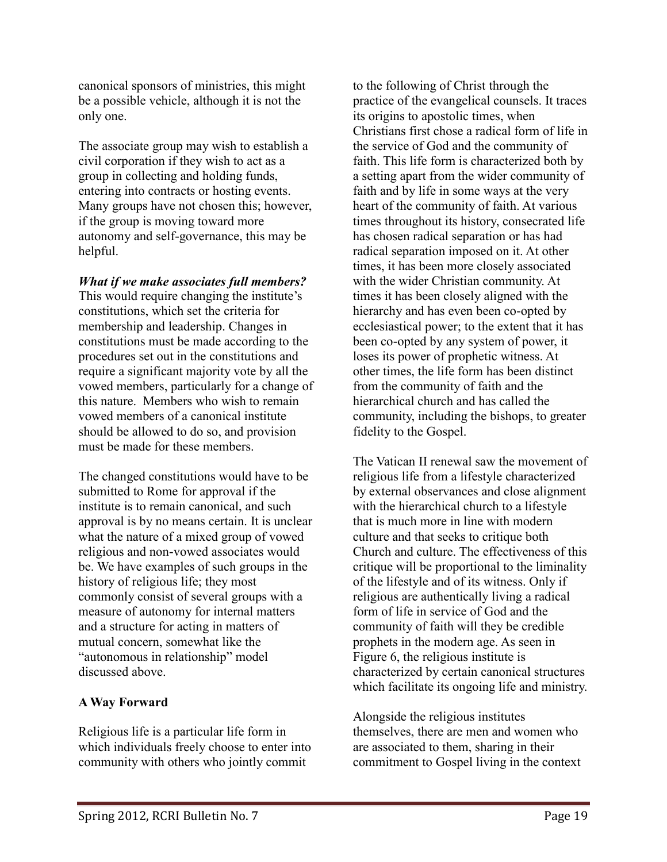canonical sponsors of ministries, this might be a possible vehicle, although it is not the only one.

The associate group may wish to establish a civil corporation if they wish to act as a group in collecting and holding funds, entering into contracts or hosting events. Many groups have not chosen this; however, if the group is moving toward more autonomy and self-governance, this may be helpful.

*What if we make associates full members?* 

This would require changing the institute's constitutions, which set the criteria for membership and leadership. Changes in constitutions must be made according to the procedures set out in the constitutions and require a significant majority vote by all the vowed members, particularly for a change of this nature. Members who wish to remain vowed members of a canonical institute should be allowed to do so, and provision must be made for these members.

The changed constitutions would have to be submitted to Rome for approval if the institute is to remain canonical, and such approval is by no means certain. It is unclear what the nature of a mixed group of vowed religious and non-vowed associates would be. We have examples of such groups in the history of religious life; they most commonly consist of several groups with a measure of autonomy for internal matters and a structure for acting in matters of mutual concern, somewhat like the "autonomous in relationship" model discussed above.

# **A Way Forward**

Religious life is a particular life form in which individuals freely choose to enter into community with others who jointly commit

to the following of Christ through the practice of the evangelical counsels. It traces its origins to apostolic times, when Christians first chose a radical form of life in the service of God and the community of faith. This life form is characterized both by a setting apart from the wider community of faith and by life in some ways at the very heart of the community of faith. At various times throughout its history, consecrated life has chosen radical separation or has had radical separation imposed on it. At other times, it has been more closely associated with the wider Christian community. At times it has been closely aligned with the hierarchy and has even been co-opted by ecclesiastical power; to the extent that it has been co-opted by any system of power, it loses its power of prophetic witness. At other times, the life form has been distinct from the community of faith and the hierarchical church and has called the community, including the bishops, to greater fidelity to the Gospel.

The Vatican II renewal saw the movement of religious life from a lifestyle characterized by external observances and close alignment with the hierarchical church to a lifestyle that is much more in line with modern culture and that seeks to critique both Church and culture. The effectiveness of this critique will be proportional to the liminality of the lifestyle and of its witness. Only if religious are authentically living a radical form of life in service of God and the community of faith will they be credible prophets in the modern age. As seen in Figure 6, the religious institute is characterized by certain canonical structures which facilitate its ongoing life and ministry.

Alongside the religious institutes themselves, there are men and women who are associated to them, sharing in their commitment to Gospel living in the context